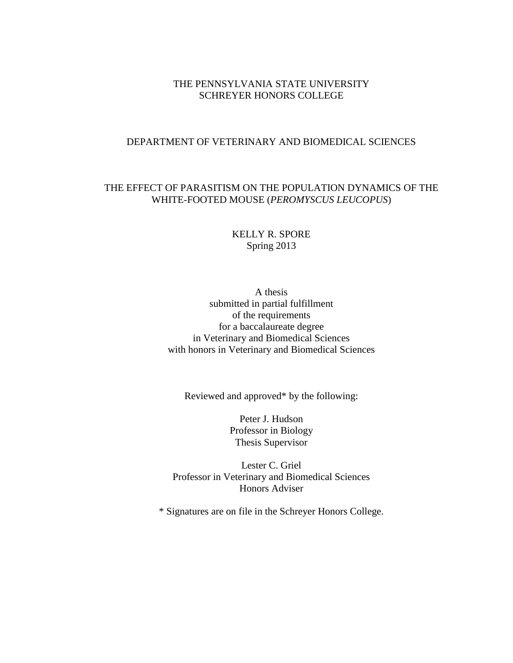# THE PENNSYLVANIA STATE UNIVERSITY SCHREYER HONORS COLLEGE

#### DEPARTMENT OF VETERINARY AND BIOMEDICAL SCIENCES

# THE EFFECT OF PARASITISM ON THE POPULATION DYNAMICS OF THE WHITE-FOOTED MOUSE (*PEROMYSCUS LEUCOPUS*)

KELLY R. SPORE Spring 2013

A thesis submitted in partial fulfillment of the requirements for a baccalaureate degree in Veterinary and Biomedical Sciences with honors in Veterinary and Biomedical Sciences

Reviewed and approved\* by the following:

Peter J. Hudson Professor in Biology Thesis Supervisor

Lester C. Griel Professor in Veterinary and Biomedical Sciences Honors Adviser

\* Signatures are on file in the Schreyer Honors College.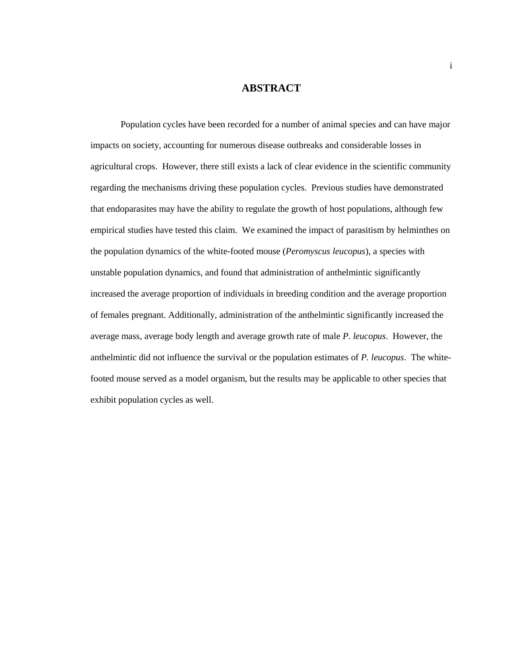### **ABSTRACT**

Population cycles have been recorded for a number of animal species and can have major impacts on society, accounting for numerous disease outbreaks and considerable losses in agricultural crops. However, there still exists a lack of clear evidence in the scientific community regarding the mechanisms driving these population cycles. Previous studies have demonstrated that endoparasites may have the ability to regulate the growth of host populations, although few empirical studies have tested this claim. We examined the impact of parasitism by helminthes on the population dynamics of the white-footed mouse (*Peromyscus leucopus*), a species with unstable population dynamics, and found that administration of anthelmintic significantly increased the average proportion of individuals in breeding condition and the average proportion of females pregnant. Additionally, administration of the anthelmintic significantly increased the average mass, average body length and average growth rate of male *P. leucopus*. However, the anthelmintic did not influence the survival or the population estimates of *P. leucopus*. The whitefooted mouse served as a model organism, but the results may be applicable to other species that exhibit population cycles as well.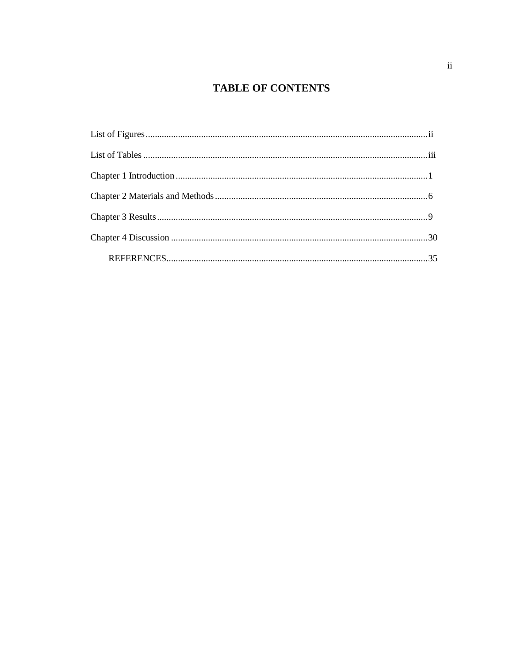# **TABLE OF CONTENTS**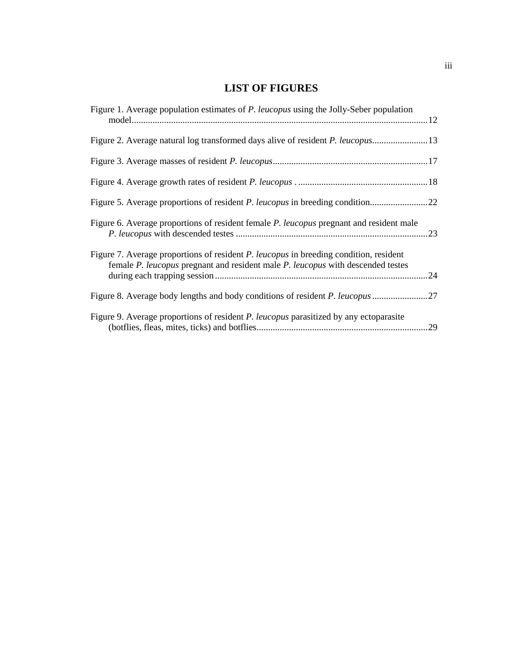# **LIST OF FIGURES**

| Figure 1. Average population estimates of <i>P. leucopus</i> using the Jolly-Seber population                                                                            |  |
|--------------------------------------------------------------------------------------------------------------------------------------------------------------------------|--|
|                                                                                                                                                                          |  |
|                                                                                                                                                                          |  |
|                                                                                                                                                                          |  |
|                                                                                                                                                                          |  |
| Figure 6. Average proportions of resident female <i>P. leucopus</i> pregnant and resident male                                                                           |  |
| Figure 7. Average proportions of resident P. leucopus in breeding condition, resident<br>female P. leucopus pregnant and resident male P. leucopus with descended testes |  |
|                                                                                                                                                                          |  |
| Figure 9. Average proportions of resident P. leucopus parasitized by any ectoparasite                                                                                    |  |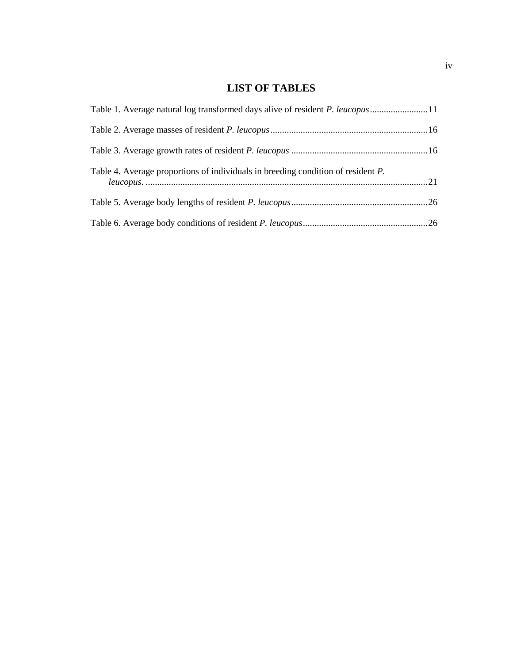# **LIST OF TABLES**

| Table 1. Average natural log transformed days alive of resident <i>P. leucopus</i> 11 |  |
|---------------------------------------------------------------------------------------|--|
|                                                                                       |  |
|                                                                                       |  |
| Table 4. Average proportions of individuals in breeding condition of resident P.      |  |
|                                                                                       |  |
|                                                                                       |  |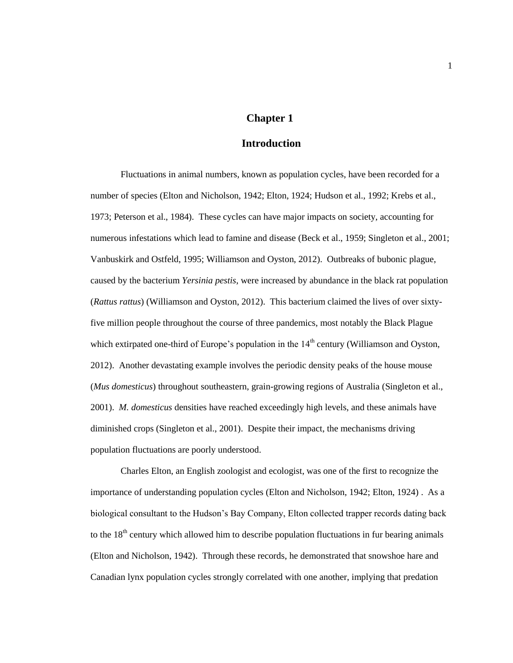#### **Chapter 1**

# **Introduction**

<span id="page-5-0"></span>Fluctuations in animal numbers, known as population cycles, have been recorded for a number of species (Elton and Nicholson, 1942; Elton, 1924; Hudson et al., 1992; Krebs et al., 1973; Peterson et al., 1984). These cycles can have major impacts on society, accounting for numerous infestations which lead to famine and disease (Beck et al., 1959; Singleton et al., 2001; Vanbuskirk and Ostfeld, 1995; Williamson and Oyston, 2012). Outbreaks of bubonic plague, caused by the bacterium *Yersinia pestis*, were increased by abundance in the black rat population (*Rattus rattus*) (Williamson and Oyston, 2012). This bacterium claimed the lives of over sixtyfive million people throughout the course of three pandemics, most notably the Black Plague which extirpated one-third of Europe's population in the  $14<sup>th</sup>$  century (Williamson and Oyston, 2012). Another devastating example involves the periodic density peaks of the house mouse (*Mus domesticus*) throughout southeastern, grain-growing regions of Australia (Singleton et al., 2001). *M. domesticus* densities have reached exceedingly high levels, and these animals have diminished crops (Singleton et al., 2001). Despite their impact, the mechanisms driving population fluctuations are poorly understood.

Charles Elton, an English zoologist and ecologist, was one of the first to recognize the importance of understanding population cycles (Elton and Nicholson, 1942; Elton, 1924) . As a biological consultant to the Hudson's Bay Company, Elton collected trapper records dating back to the  $18<sup>th</sup>$  century which allowed him to describe population fluctuations in fur bearing animals (Elton and Nicholson, 1942). Through these records, he demonstrated that snowshoe hare and Canadian lynx population cycles strongly correlated with one another, implying that predation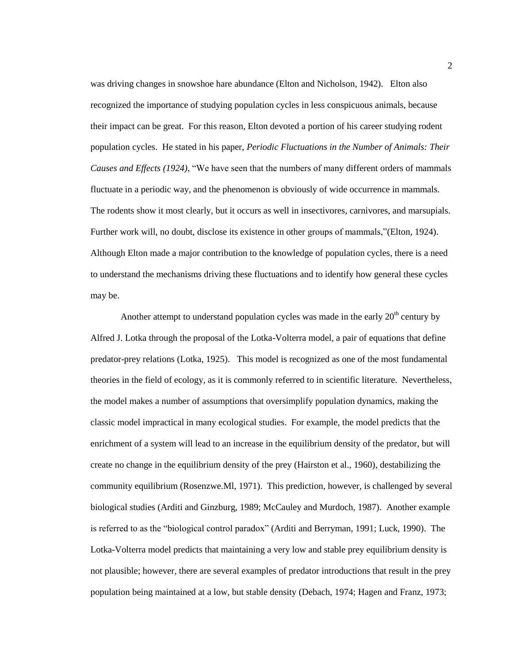was driving changes in snowshoe hare abundance (Elton and Nicholson, 1942). Elton also recognized the importance of studying population cycles in less conspicuous animals, because their impact can be great. For this reason, Elton devoted a portion of his career studying rodent population cycles. He stated in his paper, *Periodic Fluctuations in the Number of Animals: Their Causes and Effects (1924)*, "We have seen that the numbers of many different orders of mammals fluctuate in a periodic way, and the phenomenon is obviously of wide occurrence in mammals. The rodents show it most clearly, but it occurs as well in insectivores, carnivores, and marsupials. Further work will, no doubt, disclose its existence in other groups of mammals,"(Elton, 1924). Although Elton made a major contribution to the knowledge of population cycles, there is a need to understand the mechanisms driving these fluctuations and to identify how general these cycles may be.

Another attempt to understand population cycles was made in the early  $20<sup>th</sup>$  century by Alfred J. Lotka through the proposal of the Lotka-Volterra model, a pair of equations that define predator-prey relations (Lotka, 1925). This model is recognized as one of the most fundamental theories in the field of ecology, as it is commonly referred to in scientific literature. Nevertheless, the model makes a number of assumptions that oversimplify population dynamics, making the classic model impractical in many ecological studies. For example, the model predicts that the enrichment of a system will lead to an increase in the equilibrium density of the predator, but will create no change in the equilibrium density of the prey (Hairston et al., 1960), destabilizing the community equilibrium (Rosenzwe.Ml, 1971). This prediction, however, is challenged by several biological studies (Arditi and Ginzburg, 1989; McCauley and Murdoch, 1987). Another example is referred to as the "biological control paradox" (Arditi and Berryman, 1991; Luck, 1990). The Lotka-Volterra model predicts that maintaining a very low and stable prey equilibrium density is not plausible; however, there are several examples of predator introductions that result in the prey population being maintained at a low, but stable density (Debach, 1974; Hagen and Franz, 1973;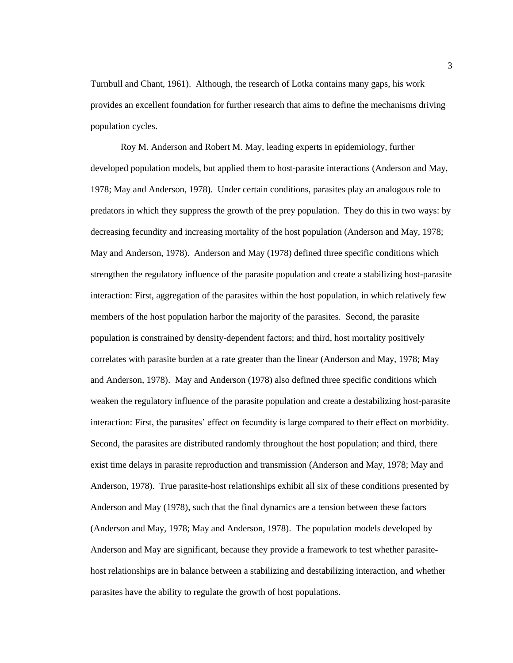Turnbull and Chant, 1961). Although, the research of Lotka contains many gaps, his work provides an excellent foundation for further research that aims to define the mechanisms driving population cycles.

Roy M. Anderson and Robert M. May, leading experts in epidemiology, further developed population models, but applied them to host-parasite interactions (Anderson and May, 1978; May and Anderson, 1978). Under certain conditions, parasites play an analogous role to predators in which they suppress the growth of the prey population. They do this in two ways: by decreasing fecundity and increasing mortality of the host population (Anderson and May, 1978; May and Anderson, 1978). Anderson and May (1978) defined three specific conditions which strengthen the regulatory influence of the parasite population and create a stabilizing host-parasite interaction: First, aggregation of the parasites within the host population, in which relatively few members of the host population harbor the majority of the parasites. Second, the parasite population is constrained by density-dependent factors; and third, host mortality positively correlates with parasite burden at a rate greater than the linear (Anderson and May, 1978; May and Anderson, 1978). May and Anderson (1978) also defined three specific conditions which weaken the regulatory influence of the parasite population and create a destabilizing host-parasite interaction: First, the parasites' effect on fecundity is large compared to their effect on morbidity. Second, the parasites are distributed randomly throughout the host population; and third, there exist time delays in parasite reproduction and transmission (Anderson and May, 1978; May and Anderson, 1978). True parasite-host relationships exhibit all six of these conditions presented by Anderson and May (1978), such that the final dynamics are a tension between these factors (Anderson and May, 1978; May and Anderson, 1978). The population models developed by Anderson and May are significant, because they provide a framework to test whether parasitehost relationships are in balance between a stabilizing and destabilizing interaction, and whether parasites have the ability to regulate the growth of host populations.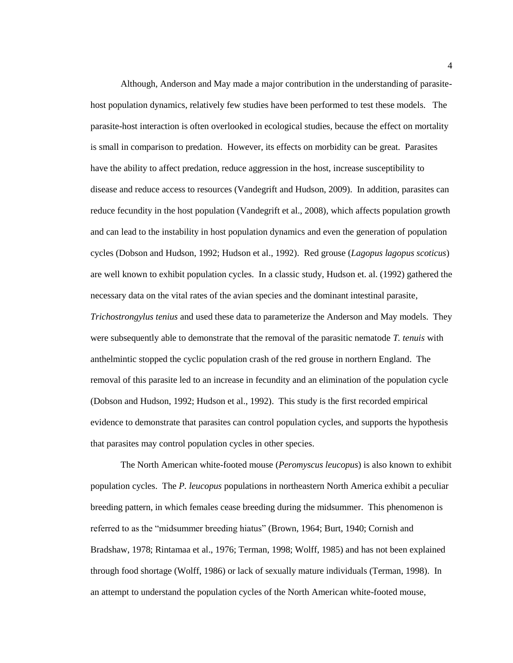Although, Anderson and May made a major contribution in the understanding of parasitehost population dynamics, relatively few studies have been performed to test these models. The parasite-host interaction is often overlooked in ecological studies, because the effect on mortality is small in comparison to predation. However, its effects on morbidity can be great. Parasites have the ability to affect predation, reduce aggression in the host, increase susceptibility to disease and reduce access to resources (Vandegrift and Hudson, 2009). In addition, parasites can reduce fecundity in the host population (Vandegrift et al., 2008), which affects population growth and can lead to the instability in host population dynamics and even the generation of population cycles (Dobson and Hudson, 1992; Hudson et al., 1992). Red grouse (*Lagopus lagopus scoticus*) are well known to exhibit population cycles. In a classic study, Hudson et. al. (1992) gathered the necessary data on the vital rates of the avian species and the dominant intestinal parasite, *Trichostrongylus tenius* and used these data to parameterize the Anderson and May models. They were subsequently able to demonstrate that the removal of the parasitic nematode *T. tenuis* with anthelmintic stopped the cyclic population crash of the red grouse in northern England. The removal of this parasite led to an increase in fecundity and an elimination of the population cycle (Dobson and Hudson, 1992; Hudson et al., 1992). This study is the first recorded empirical evidence to demonstrate that parasites can control population cycles, and supports the hypothesis that parasites may control population cycles in other species.

The North American white-footed mouse (*Peromyscus leucopus*) is also known to exhibit population cycles. The *P. leucopus* populations in northeastern North America exhibit a peculiar breeding pattern, in which females cease breeding during the midsummer. This phenomenon is referred to as the "midsummer breeding hiatus" (Brown, 1964; Burt, 1940; Cornish and Bradshaw, 1978; Rintamaa et al., 1976; Terman, 1998; Wolff, 1985) and has not been explained through food shortage (Wolff, 1986) or lack of sexually mature individuals (Terman, 1998). In an attempt to understand the population cycles of the North American white-footed mouse,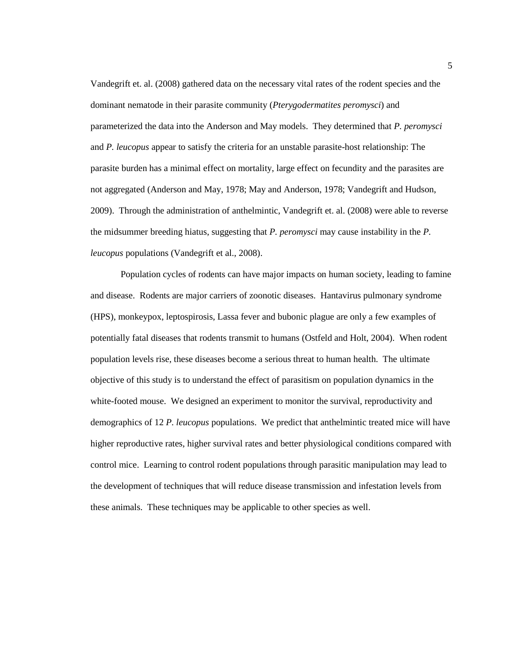Vandegrift et. al. (2008) gathered data on the necessary vital rates of the rodent species and the dominant nematode in their parasite community (*Pterygodermatites peromysci*) and parameterized the data into the Anderson and May models. They determined that *P. peromysci*  and *P. leucopus* appear to satisfy the criteria for an unstable parasite-host relationship: The parasite burden has a minimal effect on mortality, large effect on fecundity and the parasites are not aggregated (Anderson and May, 1978; May and Anderson, 1978; Vandegrift and Hudson, 2009). Through the administration of anthelmintic, Vandegrift et. al. (2008) were able to reverse the midsummer breeding hiatus, suggesting that *P. peromysci* may cause instability in the *P. leucopus* populations (Vandegrift et al., 2008).

Population cycles of rodents can have major impacts on human society, leading to famine and disease. Rodents are major carriers of zoonotic diseases. Hantavirus pulmonary syndrome (HPS), monkeypox, leptospirosis, Lassa fever and bubonic plague are only a few examples of potentially fatal diseases that rodents transmit to humans (Ostfeld and Holt, 2004). When rodent population levels rise, these diseases become a serious threat to human health. The ultimate objective of this study is to understand the effect of parasitism on population dynamics in the white-footed mouse. We designed an experiment to monitor the survival, reproductivity and demographics of 12 *P. leucopus* populations. We predict that anthelmintic treated mice will have higher reproductive rates, higher survival rates and better physiological conditions compared with control mice. Learning to control rodent populations through parasitic manipulation may lead to the development of techniques that will reduce disease transmission and infestation levels from these animals. These techniques may be applicable to other species as well.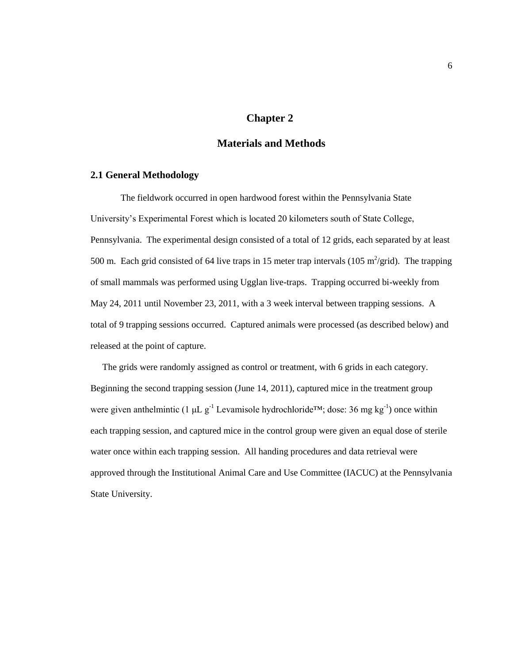#### **Chapter 2**

# **Materials and Methods**

## <span id="page-10-0"></span>**2.1 General Methodology**

The fieldwork occurred in open hardwood forest within the Pennsylvania State University's Experimental Forest which is located 20 kilometers south of State College, Pennsylvania. The experimental design consisted of a total of 12 grids, each separated by at least 500 m. Each grid consisted of 64 live traps in 15 meter trap intervals (105 m<sup>2</sup>/grid). The trapping of small mammals was performed using Ugglan live-traps. Trapping occurred bi-weekly from May 24, 2011 until November 23, 2011, with a 3 week interval between trapping sessions. A total of 9 trapping sessions occurred. Captured animals were processed (as described below) and released at the point of capture.

The grids were randomly assigned as control or treatment, with 6 grids in each category. Beginning the second trapping session (June 14, 2011), captured mice in the treatment group were given anthelmintic (1  $\mu$ L g<sup>-1</sup> Levamisole hydrochloride<sup>TM</sup>; dose: 36 mg kg<sup>-1</sup>) once within each trapping session, and captured mice in the control group were given an equal dose of sterile water once within each trapping session. All handing procedures and data retrieval were approved through the Institutional Animal Care and Use Committee (IACUC) at the Pennsylvania State University.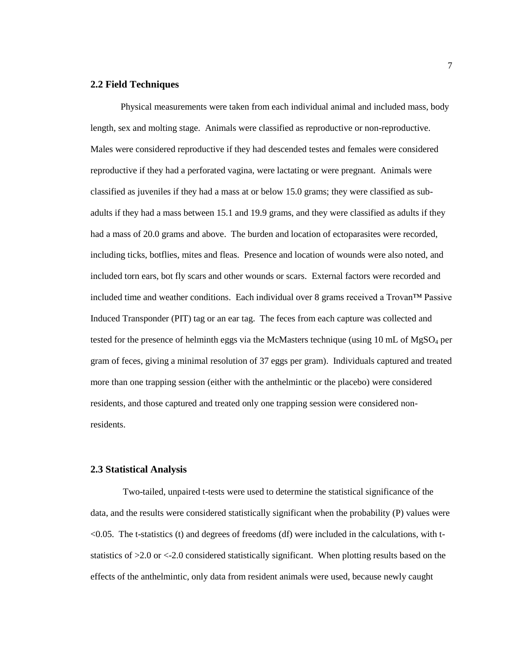#### **2.2 Field Techniques**

Physical measurements were taken from each individual animal and included mass, body length, sex and molting stage. Animals were classified as reproductive or non-reproductive. Males were considered reproductive if they had descended testes and females were considered reproductive if they had a perforated vagina, were lactating or were pregnant. Animals were classified as juveniles if they had a mass at or below 15.0 grams; they were classified as subadults if they had a mass between 15.1 and 19.9 grams, and they were classified as adults if they had a mass of 20.0 grams and above. The burden and location of ectoparasites were recorded, including ticks, botflies, mites and fleas. Presence and location of wounds were also noted, and included torn ears, bot fly scars and other wounds or scars. External factors were recorded and included time and weather conditions. Each individual over 8 grams received a Trovan™ Passive Induced Transponder (PIT) tag or an ear tag. The feces from each capture was collected and tested for the presence of helminth eggs via the McMasters technique (using 10 mL of MgSO<sub>4</sub> per gram of feces, giving a minimal resolution of 37 eggs per gram). Individuals captured and treated more than one trapping session (either with the anthelmintic or the placebo) were considered residents, and those captured and treated only one trapping session were considered nonresidents.

#### **2.3 Statistical Analysis**

Two-tailed, unpaired t-tests were used to determine the statistical significance of the data, and the results were considered statistically significant when the probability (P) values were <0.05. The t-statistics (t) and degrees of freedoms (df) were included in the calculations, with tstatistics of >2.0 or <-2.0 considered statistically significant. When plotting results based on the effects of the anthelmintic, only data from resident animals were used, because newly caught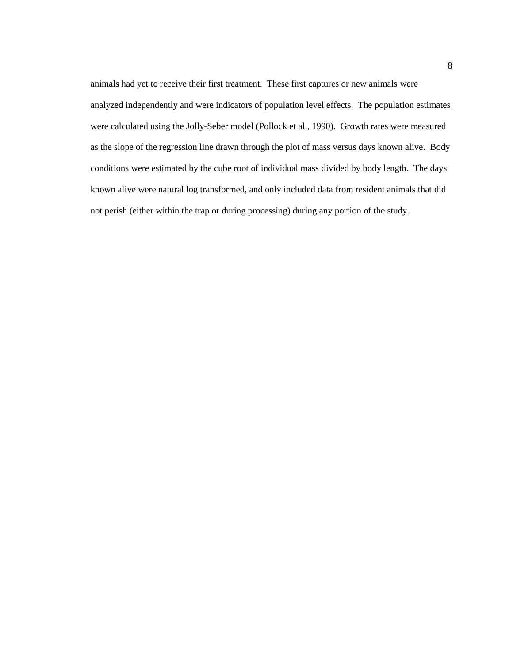animals had yet to receive their first treatment. These first captures or new animals were analyzed independently and were indicators of population level effects. The population estimates were calculated using the Jolly-Seber model (Pollock et al., 1990). Growth rates were measured as the slope of the regression line drawn through the plot of mass versus days known alive. Body conditions were estimated by the cube root of individual mass divided by body length. The days known alive were natural log transformed, and only included data from resident animals that did not perish (either within the trap or during processing) during any portion of the study.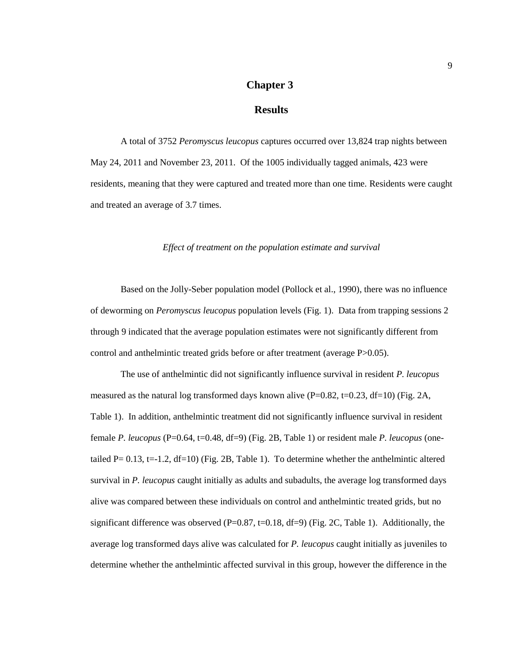# **Chapter 3**

# **Results**

<span id="page-13-0"></span>A total of 3752 *Peromyscus leucopus* captures occurred over 13,824 trap nights between May 24, 2011 and November 23, 2011. Of the 1005 individually tagged animals, 423 were residents, meaning that they were captured and treated more than one time. Residents were caught and treated an average of 3.7 times.

*Effect of treatment on the population estimate and survival*

Based on the Jolly-Seber population model (Pollock et al., 1990), there was no influence of deworming on *Peromyscus leucopus* population levels (Fig. 1). Data from trapping sessions 2 through 9 indicated that the average population estimates were not significantly different from control and anthelmintic treated grids before or after treatment (average P>0.05).

The use of anthelmintic did not significantly influence survival in resident *P. leucopus* measured as the natural log transformed days known alive (P=0.82, t=0.23, df=10) (Fig. 2A, Table 1). In addition, anthelmintic treatment did not significantly influence survival in resident female *P. leucopus* (P=0.64, t=0.48, df=9) (Fig. 2B, Table 1) or resident male *P. leucopus* (onetailed P=  $0.13$ , t=-1.2, df=10) (Fig. 2B, Table 1). To determine whether the anthelmintic altered survival in *P. leucopus* caught initially as adults and subadults, the average log transformed days alive was compared between these individuals on control and anthelmintic treated grids, but no significant difference was observed ( $P=0.87$ ,  $t=0.18$ ,  $df=9$ ) (Fig. 2C, Table 1). Additionally, the average log transformed days alive was calculated for *P. leucopus* caught initially as juveniles to determine whether the anthelmintic affected survival in this group, however the difference in the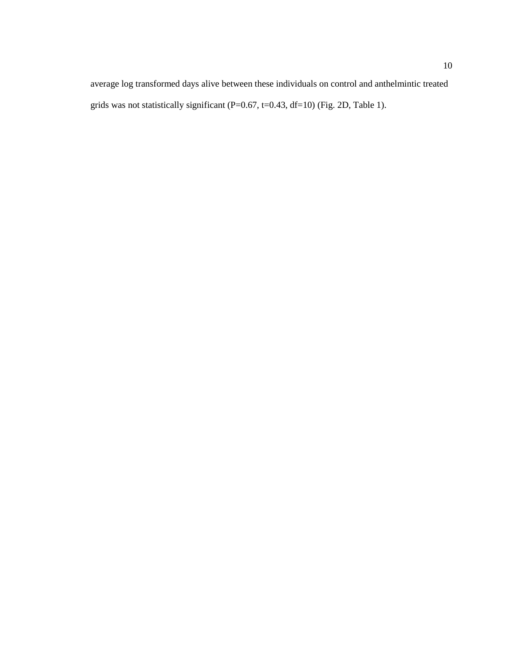average log transformed days alive between these individuals on control and anthelmintic treated grids was not statistically significant (P=0.67, t=0.43, df=10) (Fig. 2D, Table 1).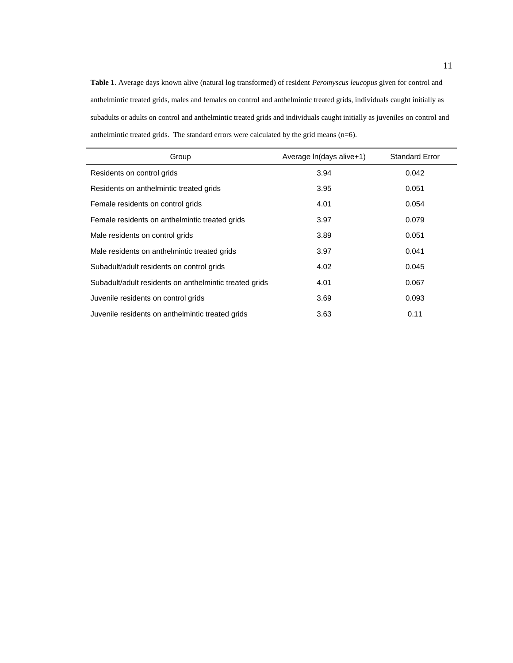**Table 1**. Average days known alive (natural log transformed) of resident *Peromyscus leucopus* given for control and anthelmintic treated grids, males and females on control and anthelmintic treated grids, individuals caught initially as subadults or adults on control and anthelmintic treated grids and individuals caught initially as juveniles on control and anthelmintic treated grids. The standard errors were calculated by the grid means (n=6).

| Group                                                  | Average In(days alive+1) | <b>Standard Error</b> |
|--------------------------------------------------------|--------------------------|-----------------------|
| Residents on control grids                             | 3.94                     | 0.042                 |
| Residents on anthelmintic treated grids                | 3.95                     | 0.051                 |
| Female residents on control grids                      | 4.01                     | 0.054                 |
| Female residents on anthelmintic treated grids         | 3.97                     | 0.079                 |
| Male residents on control grids                        | 3.89                     | 0.051                 |
| Male residents on anthelmintic treated grids           | 3.97                     | 0.041                 |
| Subadult/adult residents on control grids              | 4.02                     | 0.045                 |
| Subadult/adult residents on anthelmintic treated grids | 4.01                     | 0.067                 |
| Juvenile residents on control grids                    | 3.69                     | 0.093                 |
| Juvenile residents on anthelmintic treated grids       | 3.63                     | 0.11                  |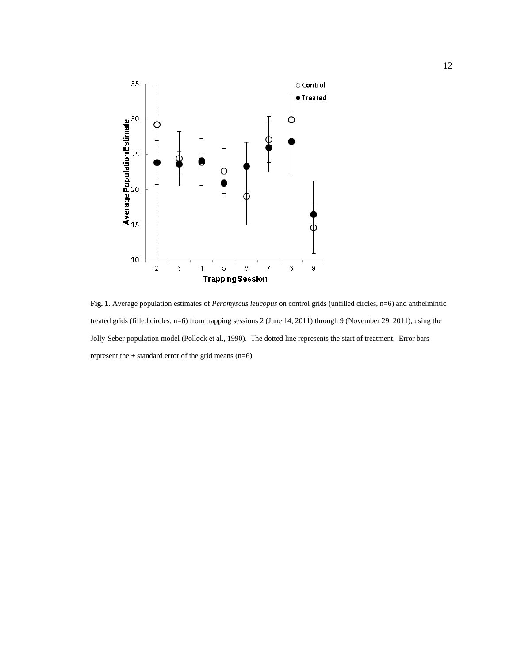

**Fig. 1.** Average population estimates of *Peromyscus leucopus* on control grids (unfilled circles, n=6) and anthelmintic treated grids (filled circles, n=6) from trapping sessions 2 (June 14, 2011) through 9 (November 29, 2011), using the Jolly-Seber population model (Pollock et al., 1990). The dotted line represents the start of treatment. Error bars represent the  $\pm$  standard error of the grid means (n=6).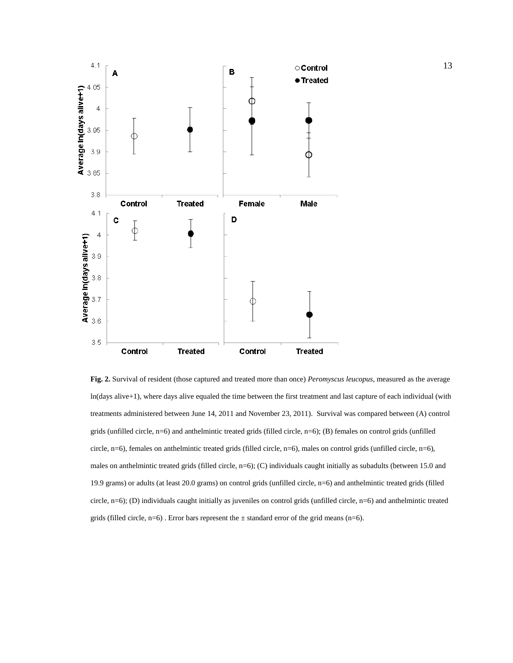

**Fig. 2.** Survival of resident (those captured and treated more than once) *Peromyscus leucopus*, measured as the average ln(days alive+1), where days alive equaled the time between the first treatment and last capture of each individual (with treatments administered between June 14, 2011 and November 23, 2011). Survival was compared between (A) control grids (unfilled circle, n=6) and anthelmintic treated grids (filled circle, n=6); (B) females on control grids (unfilled circle, n=6), females on anthelmintic treated grids (filled circle, n=6), males on control grids (unfilled circle, n=6), males on anthelmintic treated grids (filled circle, n=6); (C) individuals caught initially as subadults (between 15.0 and 19.9 grams) or adults (at least 20.0 grams) on control grids (unfilled circle, n=6) and anthelmintic treated grids (filled circle, n=6); (D) individuals caught initially as juveniles on control grids (unfilled circle, n=6) and anthelmintic treated grids (filled circle,  $n=6$ ). Error bars represent the  $\pm$  standard error of the grid means (n=6).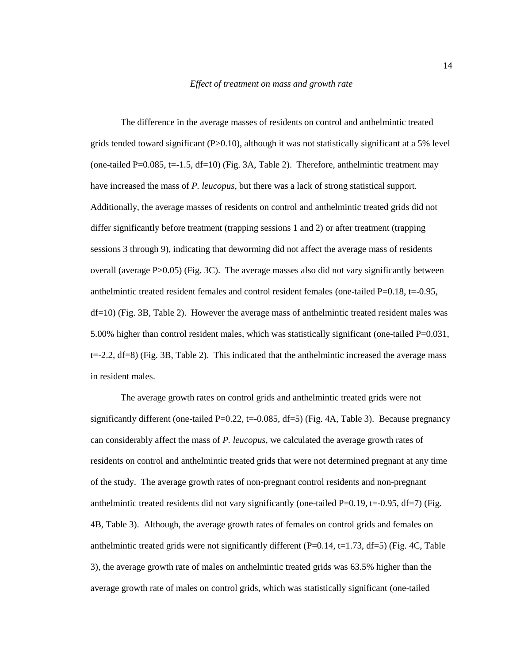The difference in the average masses of residents on control and anthelmintic treated grids tended toward significant  $(P>0.10)$ , although it was not statistically significant at a 5% level (one-tailed P=0.085, t=-1.5, df=10) (Fig. 3A, Table 2). Therefore, anthelmintic treatment may have increased the mass of *P. leucopus*, but there was a lack of strong statistical support. Additionally, the average masses of residents on control and anthelmintic treated grids did not differ significantly before treatment (trapping sessions 1 and 2) or after treatment (trapping sessions 3 through 9), indicating that deworming did not affect the average mass of residents overall (average  $P > 0.05$ ) (Fig. 3C). The average masses also did not vary significantly between anthelmintic treated resident females and control resident females (one-tailed  $P=0.18$ , t=-0.95, df=10) (Fig. 3B, Table 2). However the average mass of anthelmintic treated resident males was 5.00% higher than control resident males, which was statistically significant (one-tailed  $P=0.031$ ,  $t=-2.2$ ,  $df=8$ ) (Fig. 3B, Table 2). This indicated that the anthelmintic increased the average mass in resident males.

The average growth rates on control grids and anthelmintic treated grids were not significantly different (one-tailed P=0.22, t=-0.085, df=5) (Fig. 4A, Table 3). Because pregnancy can considerably affect the mass of *P. leucopus*, we calculated the average growth rates of residents on control and anthelmintic treated grids that were not determined pregnant at any time of the study. The average growth rates of non-pregnant control residents and non-pregnant anthelmintic treated residents did not vary significantly (one-tailed  $P=0.19$ , t=-0.95, df=7) (Fig. 4B, Table 3). Although, the average growth rates of females on control grids and females on anthelmintic treated grids were not significantly different  $(P=0.14, t=1.73, df=5)$  (Fig. 4C, Table 3), the average growth rate of males on anthelmintic treated grids was 63.5% higher than the average growth rate of males on control grids, which was statistically significant (one-tailed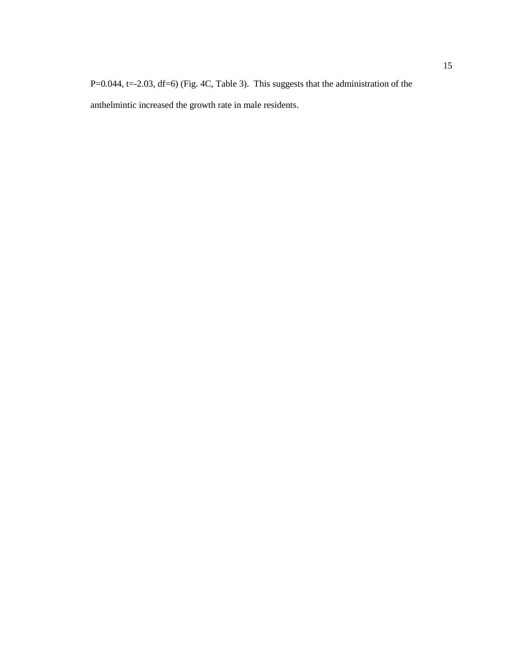P=0.044, t=-2.03, df=6) (Fig. 4C, Table 3). This suggests that the administration of the anthelmintic increased the growth rate in male residents.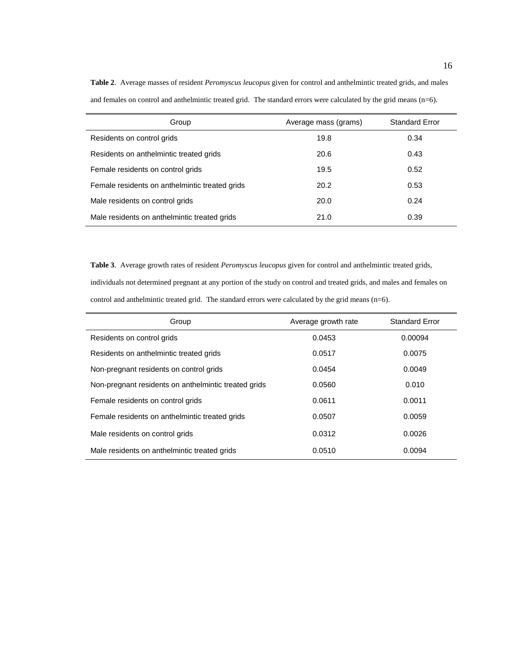| Group                                          | Average mass (grams) | <b>Standard Error</b> |
|------------------------------------------------|----------------------|-----------------------|
| Residents on control grids                     | 19.8                 | 0.34                  |
| Residents on anthelmintic treated grids        | 20.6                 | 0.43                  |
| Female residents on control grids              | 19.5                 | 0.52                  |
| Female residents on anthelmintic treated grids | 20.2                 | 0.53                  |
| Male residents on control grids                | 20.0                 | 0.24                  |
| Male residents on anthelmintic treated grids   | 21.0                 | 0.39                  |

**Table 2**. Average masses of resident *Peromyscus leucopus* given for control and anthelmintic treated grids, and males and females on control and anthelmintic treated grid. The standard errors were calculated by the grid means (n=6).

**Table 3**. Average growth rates of resident *Peromyscus leucopus* given for control and anthelmintic treated grids, individuals not determined pregnant at any portion of the study on control and treated grids, and males and females on control and anthelmintic treated grid. The standard errors were calculated by the grid means (n=6).

| Group                                                | Average growth rate | <b>Standard Error</b> |
|------------------------------------------------------|---------------------|-----------------------|
| Residents on control grids                           | 0.0453              | 0.00094               |
| Residents on anthelmintic treated grids              | 0.0517              | 0.0075                |
| Non-pregnant residents on control grids              | 0.0454              | 0.0049                |
| Non-pregnant residents on anthelmintic treated grids | 0.0560              | 0.010                 |
| Female residents on control grids                    | 0.0611              | 0.0011                |
| Female residents on anthelmintic treated grids       | 0.0507              | 0.0059                |
| Male residents on control grids                      | 0.0312              | 0.0026                |
| Male residents on anthelmintic treated grids         | 0.0510              | 0.0094                |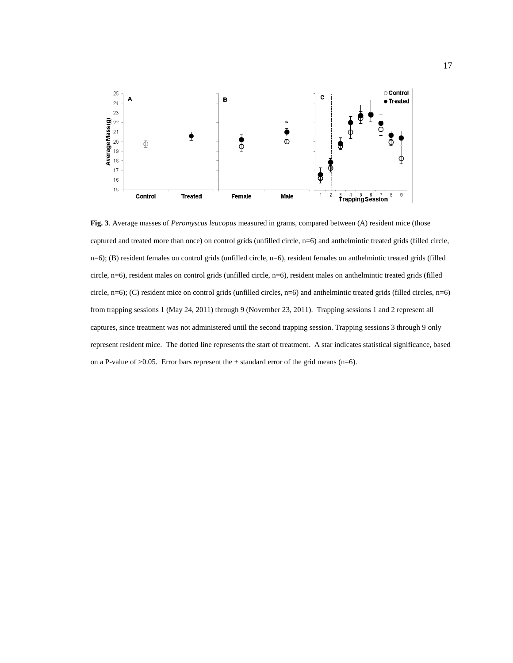

**Fig. 3**. Average masses of *Peromyscus leucopus* measured in grams, compared between (A) resident mice (those captured and treated more than once) on control grids (unfilled circle, n=6) and anthelmintic treated grids (filled circle, n=6); (B) resident females on control grids (unfilled circle, n=6), resident females on anthelmintic treated grids (filled circle, n=6), resident males on control grids (unfilled circle, n=6), resident males on anthelmintic treated grids (filled circle, n=6); (C) resident mice on control grids (unfilled circles, n=6) and anthelmintic treated grids (filled circles, n=6) from trapping sessions 1 (May 24, 2011) through 9 (November 23, 2011). Trapping sessions 1 and 2 represent all captures, since treatment was not administered until the second trapping session. Trapping sessions 3 through 9 only represent resident mice. The dotted line represents the start of treatment. A star indicates statistical significance, based on a P-value of  $>0.05$ . Error bars represent the  $\pm$  standard error of the grid means (n=6).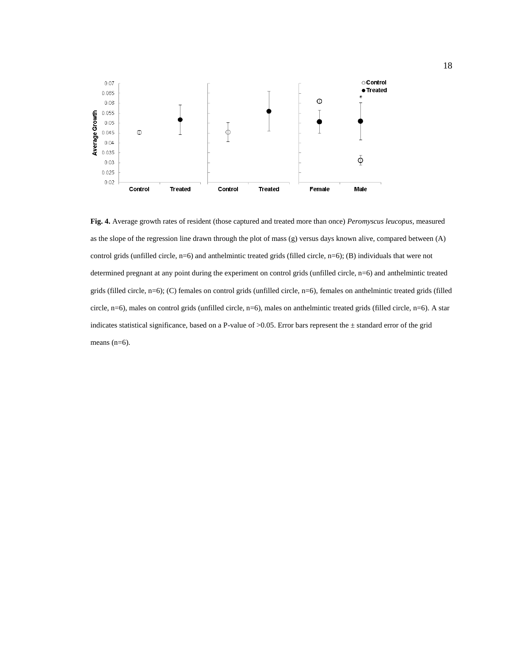

**Fig. 4.** Average growth rates of resident (those captured and treated more than once) *Peromyscus leucopus,* measured as the slope of the regression line drawn through the plot of mass (g) versus days known alive, compared between (A) control grids (unfilled circle, n=6) and anthelmintic treated grids (filled circle, n=6); (B) individuals that were not determined pregnant at any point during the experiment on control grids (unfilled circle, n=6) and anthelmintic treated grids (filled circle, n=6); (C) females on control grids (unfilled circle, n=6), females on anthelmintic treated grids (filled circle, n=6), males on control grids (unfilled circle, n=6), males on anthelmintic treated grids (filled circle, n=6). A star indicates statistical significance, based on a P-value of  $>0.05$ . Error bars represent the  $\pm$  standard error of the grid means (n=6).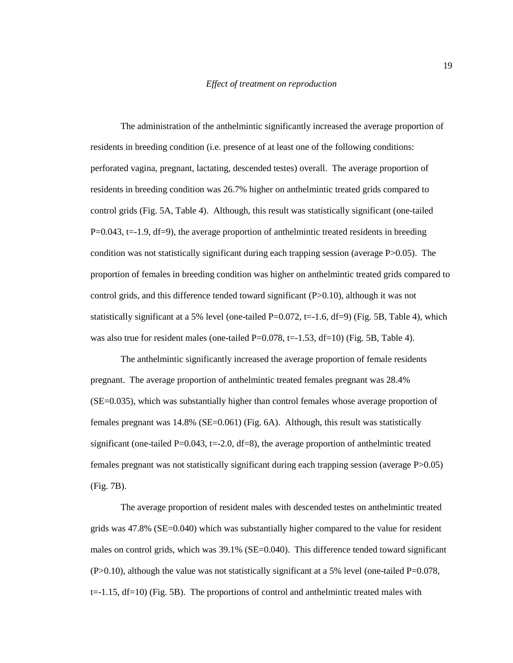The administration of the anthelmintic significantly increased the average proportion of residents in breeding condition (i.e. presence of at least one of the following conditions: perforated vagina, pregnant, lactating, descended testes) overall. The average proportion of residents in breeding condition was 26.7% higher on anthelmintic treated grids compared to control grids (Fig. 5A, Table 4). Although, this result was statistically significant (one-tailed  $P=0.043$ , t=-1.9, df=9), the average proportion of anthelmintic treated residents in breeding condition was not statistically significant during each trapping session (average P>0.05). The proportion of females in breeding condition was higher on anthelmintic treated grids compared to control grids, and this difference tended toward significant (P>0.10), although it was not statistically significant at a 5% level (one-tailed  $P=0.072$ , t=-1.6, df=9) (Fig. 5B, Table 4), which was also true for resident males (one-tailed  $P=0.078$ , t=-1.53, df=10) (Fig. 5B, Table 4).

The anthelmintic significantly increased the average proportion of female residents pregnant. The average proportion of anthelmintic treated females pregnant was 28.4% (SE=0.035), which was substantially higher than control females whose average proportion of females pregnant was 14.8% (SE=0.061) (Fig. 6A). Although, this result was statistically significant (one-tailed  $P=0.043$ , t=-2.0, df=8), the average proportion of anthelmintic treated females pregnant was not statistically significant during each trapping session (average P>0.05) (Fig. 7B).

The average proportion of resident males with descended testes on anthelmintic treated grids was 47.8% (SE=0.040) which was substantially higher compared to the value for resident males on control grids, which was 39.1% (SE=0.040). This difference tended toward significant  $(P>0.10)$ , although the value was not statistically significant at a 5% level (one-tailed P=0.078,  $t=-1.15$ ,  $df=10$ ) (Fig. 5B). The proportions of control and anthelmintic treated males with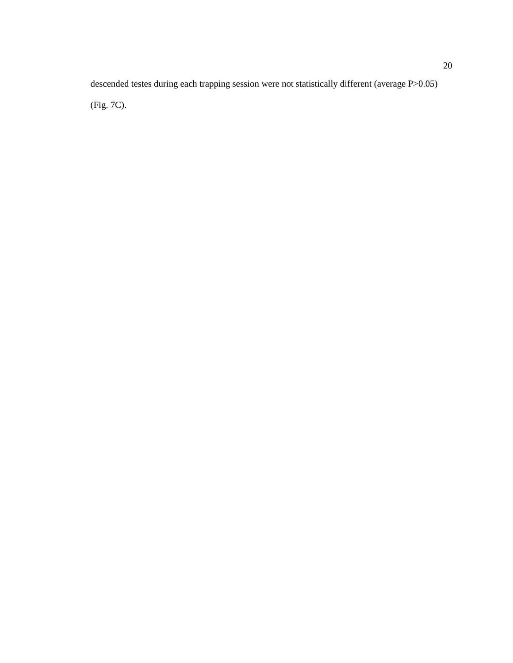descended testes during each trapping session were not statistically different (average P>0.05)

(Fig. 7C).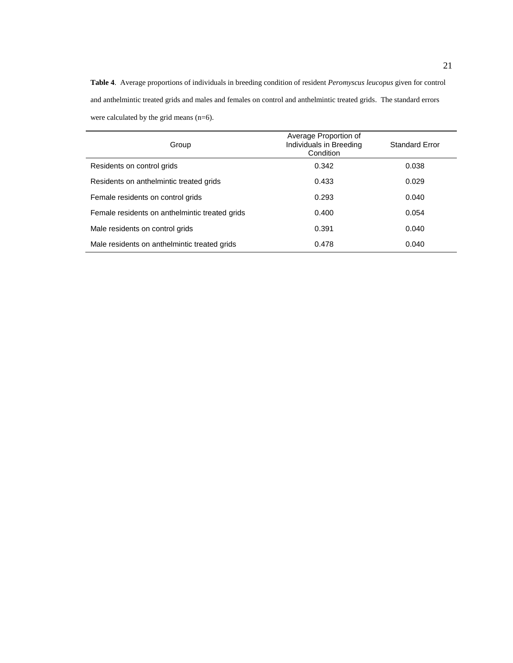**Table 4**. Average proportions of individuals in breeding condition of resident *Peromyscus leucopus* given for control and anthelmintic treated grids and males and females on control and anthelmintic treated grids. The standard errors were calculated by the grid means (n=6).

| Group                                          | Average Proportion of<br>Individuals in Breeding<br>Condition | <b>Standard Error</b> |
|------------------------------------------------|---------------------------------------------------------------|-----------------------|
| Residents on control grids                     | 0.342                                                         | 0.038                 |
| Residents on anthelmintic treated grids        | 0.433                                                         | 0.029                 |
| Female residents on control grids              | 0.293                                                         | 0.040                 |
| Female residents on anthelmintic treated grids | 0.400                                                         | 0.054                 |
| Male residents on control grids                | 0.391                                                         | 0.040                 |
| Male residents on anthelmintic treated grids   | 0.478                                                         | 0.040                 |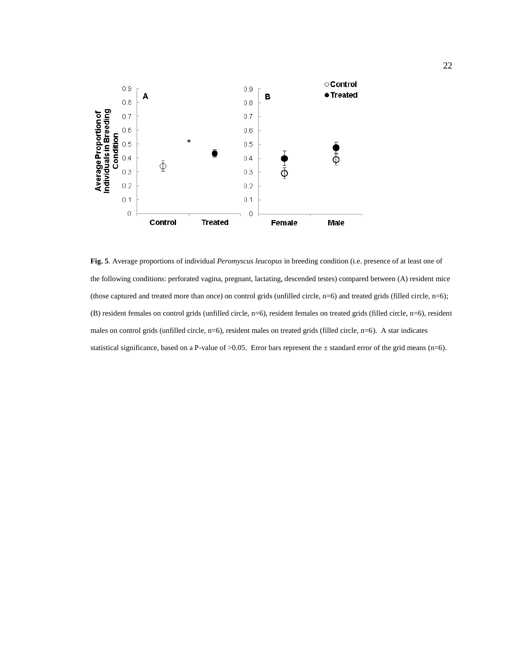

**Fig. 5**. Average proportions of individual *Peromyscus leucopus* in breeding condition (i.e. presence of at least one of the following conditions: perforated vagina, pregnant, lactating, descended testes) compared between (A) resident mice (those captured and treated more than once) on control grids (unfilled circle,  $n=6$ ) and treated grids (filled circle,  $n=6$ ); (B) resident females on control grids (unfilled circle, n=6), resident females on treated grids (filled circle, n=6), resident males on control grids (unfilled circle, n=6), resident males on treated grids (filled circle, n=6). A star indicates statistical significance, based on a P-value of  $>0.05$ . Error bars represent the  $\pm$  standard error of the grid means (n=6).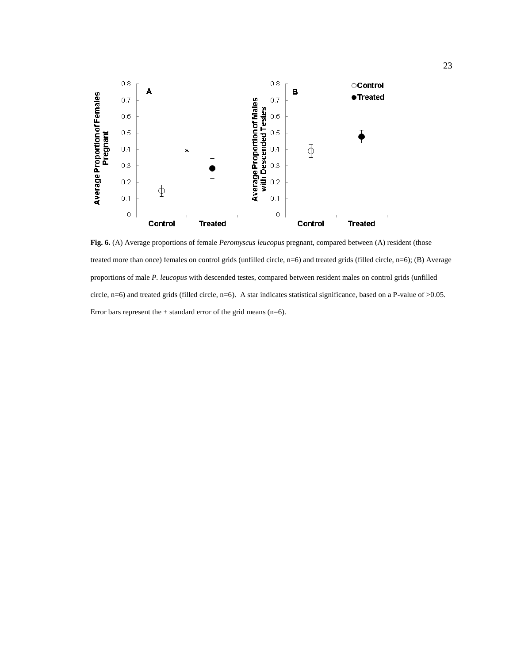

**Fig. 6.** (A) Average proportions of female *Peromyscus leucopus* pregnant, compared between (A) resident (those treated more than once) females on control grids (unfilled circle, n=6) and treated grids (filled circle, n=6); (B) Average proportions of male *P. leucopus* with descended testes, compared between resident males on control grids (unfilled circle, n=6) and treated grids (filled circle, n=6). A star indicates statistical significance, based on a P-value of >0.05. Error bars represent the  $\pm$  standard error of the grid means (n=6).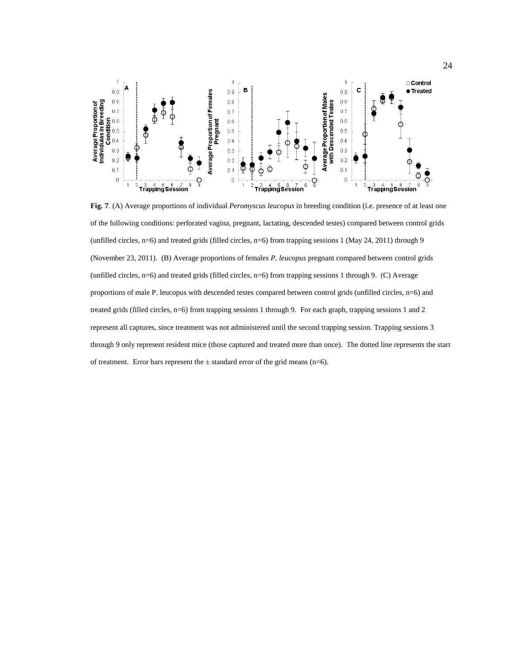

**Fig. 7**. (A) Average proportions of individual *Peromyscus leucopus* in breeding condition (i.e. presence of at least one of the following conditions: perforated vagina, pregnant, lactating, descended testes) compared between control grids (unfilled circles, n=6) and treated grids (filled circles, n=6) from trapping sessions 1 (May 24, 2011) through 9 (November 23, 2011). (B) Average proportions of females *P. leucopus* pregnant compared between control grids (unfilled circles, n=6) and treated grids (filled circles, n=6) from trapping sessions 1 through 9. (C) Average proportions of male P. leucopus with descended testes compared between control grids (unfilled circles, n=6) and treated grids (filled circles, n=6) from trapping sessions 1 through 9. For each graph, trapping sessions 1 and 2 represent all captures, since treatment was not administered until the second trapping session. Trapping sessions 3 through 9 only represent resident mice (those captured and treated more than once). The dotted line represents the start of treatment. Error bars represent the  $\pm$  standard error of the grid means (n=6).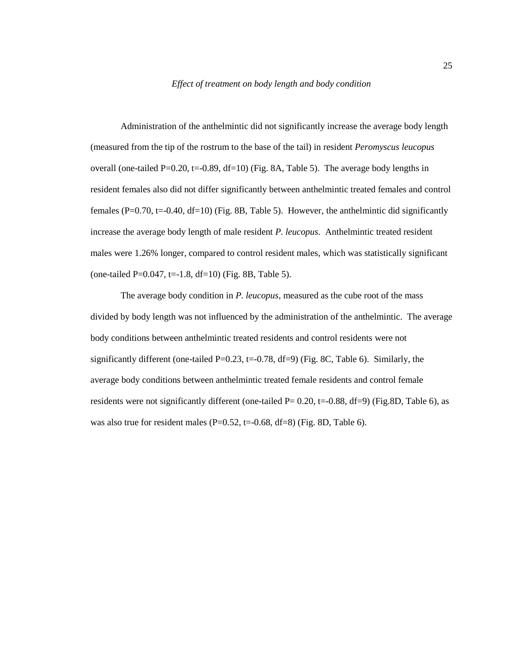Administration of the anthelmintic did not significantly increase the average body length (measured from the tip of the rostrum to the base of the tail) in resident *Peromyscus leucopus* overall (one-tailed  $P=0.20$ , t=-0.89, df=10) (Fig. 8A, Table 5). The average body lengths in resident females also did not differ significantly between anthelmintic treated females and control females (P=0.70, t=-0.40, df=10) (Fig. 8B, Table 5). However, the anthelmintic did significantly increase the average body length of male resident *P. leucopus.* Anthelmintic treated resident males were 1.26% longer, compared to control resident males, which was statistically significant (one-tailed P=0.047, t= $-1.8$ , df=10) (Fig. 8B, Table 5).

The average body condition in *P. leucopus*, measured as the cube root of the mass divided by body length was not influenced by the administration of the anthelmintic. The average body conditions between anthelmintic treated residents and control residents were not significantly different (one-tailed P=0.23, t=-0.78, df=9) (Fig. 8C, Table 6). Similarly, the average body conditions between anthelmintic treated female residents and control female residents were not significantly different (one-tailed P= 0.20, t=-0.88, df=9) (Fig.8D, Table 6), as was also true for resident males ( $P=0.52$ , t=-0.68, df=8) (Fig. 8D, Table 6).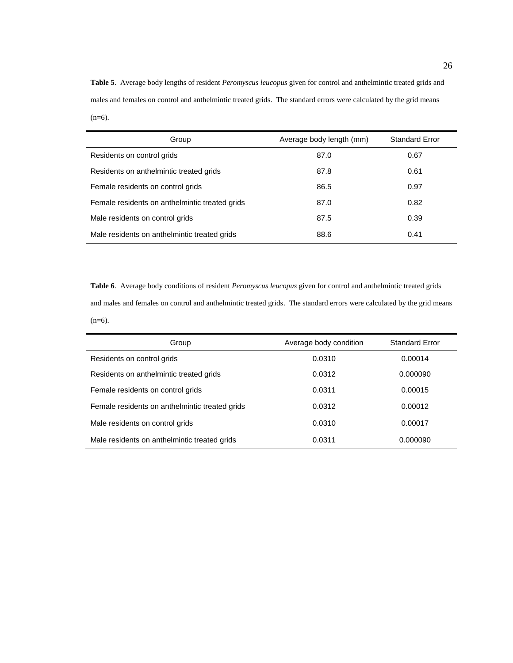**Table 5**. Average body lengths of resident *Peromyscus leucopus* given for control and anthelmintic treated grids and males and females on control and anthelmintic treated grids. The standard errors were calculated by the grid means  $(n=6)$ .

| Group                                          | Average body length (mm) | <b>Standard Error</b> |
|------------------------------------------------|--------------------------|-----------------------|
| Residents on control grids                     | 87.0                     | 0.67                  |
| Residents on anthelmintic treated grids        | 87.8                     | 0.61                  |
| Female residents on control grids              | 86.5                     | 0.97                  |
| Female residents on anthelmintic treated grids | 87.0                     | 0.82                  |
| Male residents on control grids                | 87.5                     | 0.39                  |
| Male residents on anthelmintic treated grids   | 88.6                     | 0.41                  |

**Table 6**. Average body conditions of resident *Peromyscus leucopus* given for control and anthelmintic treated grids and males and females on control and anthelmintic treated grids. The standard errors were calculated by the grid means  $(n=6)$ .

| Group                                          | Average body condition | <b>Standard Error</b> |
|------------------------------------------------|------------------------|-----------------------|
| Residents on control grids                     | 0.0310                 | 0.00014               |
| Residents on anthelmintic treated grids        | 0.0312                 | 0.000090              |
| Female residents on control grids              | 0.0311                 | 0.00015               |
| Female residents on anthelmintic treated grids | 0.0312                 | 0.00012               |
| Male residents on control grids                | 0.0310                 | 0.00017               |
| Male residents on anthelmintic treated grids   | 0.0311                 | 0.000090              |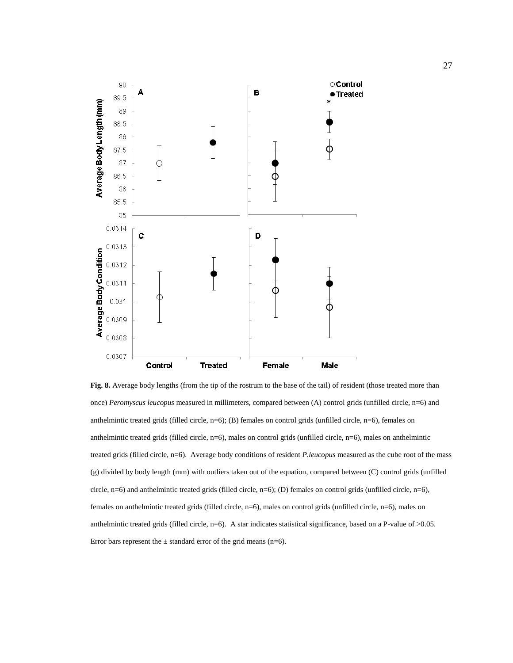

**Fig. 8.** Average body lengths (from the tip of the rostrum to the base of the tail) of resident (those treated more than once) *Peromyscus leucopus* measured in millimeters, compared between (A) control grids (unfilled circle, n=6) and anthelmintic treated grids (filled circle, n=6); (B) females on control grids (unfilled circle, n=6), females on anthelmintic treated grids (filled circle, n=6), males on control grids (unfilled circle, n=6), males on anthelmintic treated grids (filled circle, n=6). Average body conditions of resident *P.leucopus* measured as the cube root of the mass (g) divided by body length (mm) with outliers taken out of the equation, compared between (C) control grids (unfilled circle, n=6) and anthelmintic treated grids (filled circle, n=6); (D) females on control grids (unfilled circle, n=6), females on anthelmintic treated grids (filled circle, n=6), males on control grids (unfilled circle, n=6), males on anthelmintic treated grids (filled circle, n=6). A star indicates statistical significance, based on a P-value of >0.05. Error bars represent the  $\pm$  standard error of the grid means (n=6).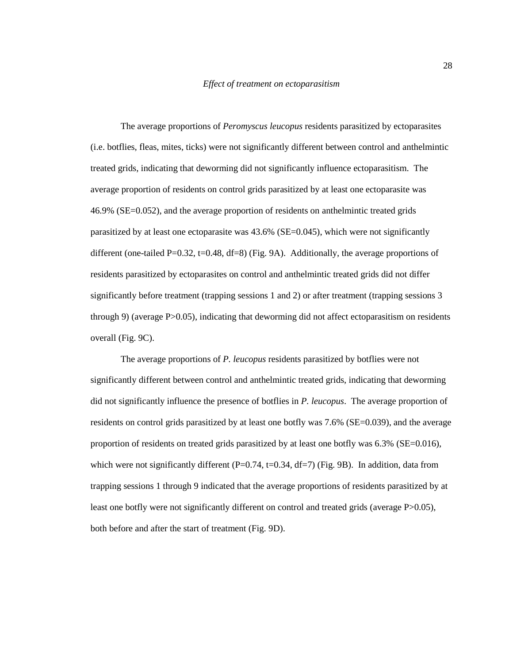The average proportions of *Peromyscus leucopus* residents parasitized by ectoparasites (i.e. botflies, fleas, mites, ticks) were not significantly different between control and anthelmintic treated grids, indicating that deworming did not significantly influence ectoparasitism. The average proportion of residents on control grids parasitized by at least one ectoparasite was 46.9% (SE=0.052), and the average proportion of residents on anthelmintic treated grids parasitized by at least one ectoparasite was  $43.6\%$  (SE=0.045), which were not significantly different (one-tailed P=0.32, t=0.48, df=8) (Fig. 9A). Additionally, the average proportions of residents parasitized by ectoparasites on control and anthelmintic treated grids did not differ significantly before treatment (trapping sessions 1 and 2) or after treatment (trapping sessions 3 through 9) (average P>0.05), indicating that deworming did not affect ectoparasitism on residents overall (Fig. 9C).

The average proportions of *P. leucopus* residents parasitized by botflies were not significantly different between control and anthelmintic treated grids, indicating that deworming did not significantly influence the presence of botflies in *P. leucopus*. The average proportion of residents on control grids parasitized by at least one botfly was 7.6% (SE=0.039), and the average proportion of residents on treated grids parasitized by at least one botfly was 6.3% (SE=0.016), which were not significantly different (P=0.74, t=0.34, df=7) (Fig. 9B). In addition, data from trapping sessions 1 through 9 indicated that the average proportions of residents parasitized by at least one botfly were not significantly different on control and treated grids (average P>0.05), both before and after the start of treatment (Fig. 9D).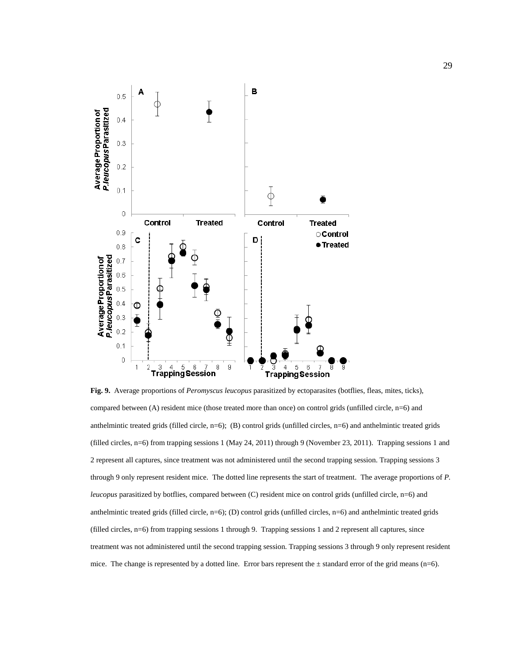

**Fig. 9.** Average proportions of *Peromyscus leucopus* parasitized by ectoparasites (botflies, fleas, mites, ticks), compared between (A) resident mice (those treated more than once) on control grids (unfilled circle, n=6) and anthelmintic treated grids (filled circle, n=6); (B) control grids (unfilled circles, n=6) and anthelmintic treated grids (filled circles, n=6) from trapping sessions 1 (May 24, 2011) through 9 (November 23, 2011). Trapping sessions 1 and 2 represent all captures, since treatment was not administered until the second trapping session. Trapping sessions 3 through 9 only represent resident mice. The dotted line represents the start of treatment. The average proportions of *P. leucopus* parasitized by botflies, compared between (C) resident mice on control grids (unfilled circle, n=6) and anthelmintic treated grids (filled circle, n=6); (D) control grids (unfilled circles, n=6) and anthelmintic treated grids (filled circles, n=6) from trapping sessions 1 through 9. Trapping sessions 1 and 2 represent all captures, since treatment was not administered until the second trapping session. Trapping sessions 3 through 9 only represent resident mice. The change is represented by a dotted line. Error bars represent the  $\pm$  standard error of the grid means (n=6).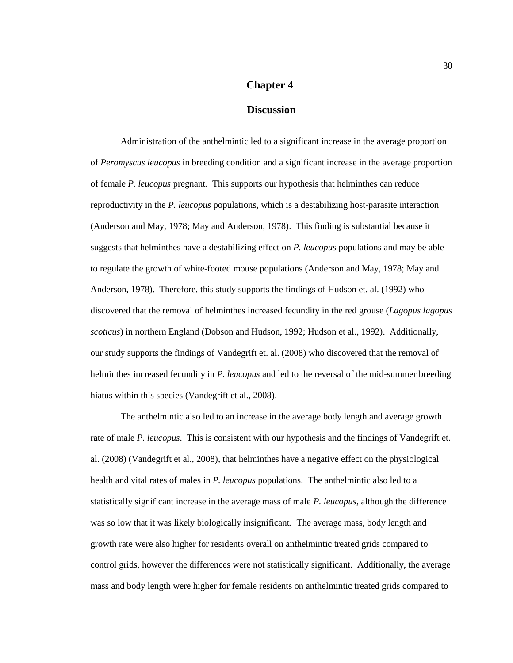# **Chapter 4**

## **Discussion**

<span id="page-34-0"></span>Administration of the anthelmintic led to a significant increase in the average proportion of *Peromyscus leucopus* in breeding condition and a significant increase in the average proportion of female *P. leucopus* pregnant. This supports our hypothesis that helminthes can reduce reproductivity in the *P. leucopus* populations, which is a destabilizing host-parasite interaction (Anderson and May, 1978; May and Anderson, 1978). This finding is substantial because it suggests that helminthes have a destabilizing effect on *P. leucopus* populations and may be able to regulate the growth of white-footed mouse populations (Anderson and May, 1978; May and Anderson, 1978). Therefore, this study supports the findings of Hudson et. al. (1992) who discovered that the removal of helminthes increased fecundity in the red grouse (*Lagopus lagopus scoticus*) in northern England (Dobson and Hudson, 1992; Hudson et al., 1992). Additionally, our study supports the findings of Vandegrift et. al. (2008) who discovered that the removal of helminthes increased fecundity in *P. leucopus* and led to the reversal of the mid-summer breeding hiatus within this species (Vandegrift et al., 2008).

The anthelmintic also led to an increase in the average body length and average growth rate of male *P. leucopus*. This is consistent with our hypothesis and the findings of Vandegrift et. al. (2008) (Vandegrift et al., 2008), that helminthes have a negative effect on the physiological health and vital rates of males in *P. leucopus* populations. The anthelmintic also led to a statistically significant increase in the average mass of male *P. leucopus*, although the difference was so low that it was likely biologically insignificant. The average mass, body length and growth rate were also higher for residents overall on anthelmintic treated grids compared to control grids, however the differences were not statistically significant. Additionally, the average mass and body length were higher for female residents on anthelmintic treated grids compared to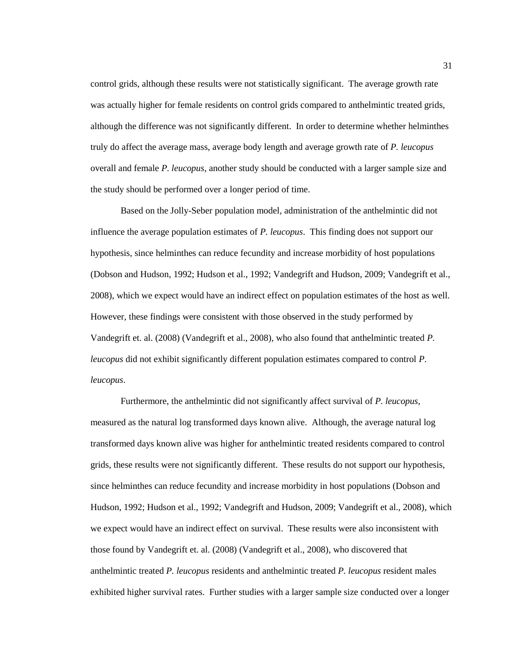control grids, although these results were not statistically significant. The average growth rate was actually higher for female residents on control grids compared to anthelmintic treated grids, although the difference was not significantly different. In order to determine whether helminthes truly do affect the average mass, average body length and average growth rate of *P. leucopus* overall and female *P. leucopus*, another study should be conducted with a larger sample size and the study should be performed over a longer period of time.

Based on the Jolly-Seber population model, administration of the anthelmintic did not influence the average population estimates of *P. leucopus*. This finding does not support our hypothesis, since helminthes can reduce fecundity and increase morbidity of host populations (Dobson and Hudson, 1992; Hudson et al., 1992; Vandegrift and Hudson, 2009; Vandegrift et al., 2008), which we expect would have an indirect effect on population estimates of the host as well. However, these findings were consistent with those observed in the study performed by Vandegrift et. al. (2008) (Vandegrift et al., 2008), who also found that anthelmintic treated *P. leucopus* did not exhibit significantly different population estimates compared to control *P. leucopus*.

Furthermore, the anthelmintic did not significantly affect survival of *P. leucopus*, measured as the natural log transformed days known alive. Although, the average natural log transformed days known alive was higher for anthelmintic treated residents compared to control grids, these results were not significantly different. These results do not support our hypothesis, since helminthes can reduce fecundity and increase morbidity in host populations (Dobson and Hudson, 1992; Hudson et al., 1992; Vandegrift and Hudson, 2009; Vandegrift et al., 2008), which we expect would have an indirect effect on survival. These results were also inconsistent with those found by Vandegrift et. al. (2008) (Vandegrift et al., 2008), who discovered that anthelmintic treated *P. leucopus* residents and anthelmintic treated *P. leucopus* resident males exhibited higher survival rates. Further studies with a larger sample size conducted over a longer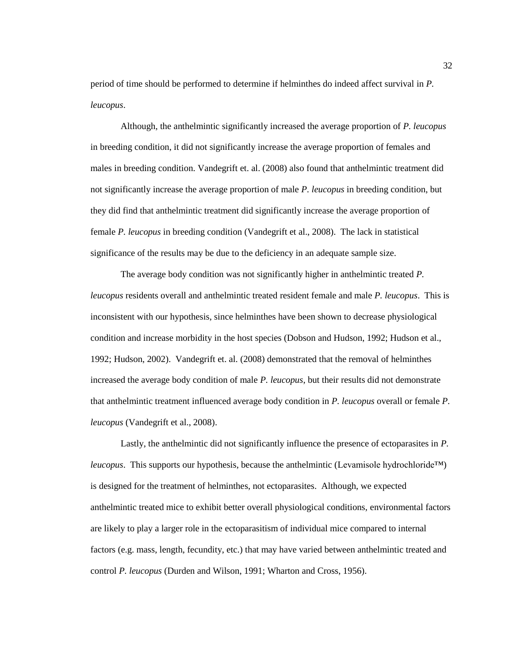period of time should be performed to determine if helminthes do indeed affect survival in *P. leucopus*.

Although, the anthelmintic significantly increased the average proportion of *P. leucopus* in breeding condition, it did not significantly increase the average proportion of females and males in breeding condition. Vandegrift et. al. (2008) also found that anthelmintic treatment did not significantly increase the average proportion of male *P. leucopus* in breeding condition, but they did find that anthelmintic treatment did significantly increase the average proportion of female *P. leucopus* in breeding condition (Vandegrift et al., 2008). The lack in statistical significance of the results may be due to the deficiency in an adequate sample size.

The average body condition was not significantly higher in anthelmintic treated *P. leucopus* residents overall and anthelmintic treated resident female and male *P. leucopus*. This is inconsistent with our hypothesis, since helminthes have been shown to decrease physiological condition and increase morbidity in the host species (Dobson and Hudson, 1992; Hudson et al., 1992; Hudson, 2002). Vandegrift et. al. (2008) demonstrated that the removal of helminthes increased the average body condition of male *P. leucopus*, but their results did not demonstrate that anthelmintic treatment influenced average body condition in *P. leucopus* overall or female *P. leucopus* (Vandegrift et al., 2008).

Lastly, the anthelmintic did not significantly influence the presence of ectoparasites in *P. leucopus*. This supports our hypothesis, because the anthelmintic (Levamisole hydrochloride™) is designed for the treatment of helminthes, not ectoparasites. Although, we expected anthelmintic treated mice to exhibit better overall physiological conditions, environmental factors are likely to play a larger role in the ectoparasitism of individual mice compared to internal factors (e.g. mass, length, fecundity, etc.) that may have varied between anthelmintic treated and control *P. leucopus* (Durden and Wilson, 1991; Wharton and Cross, 1956).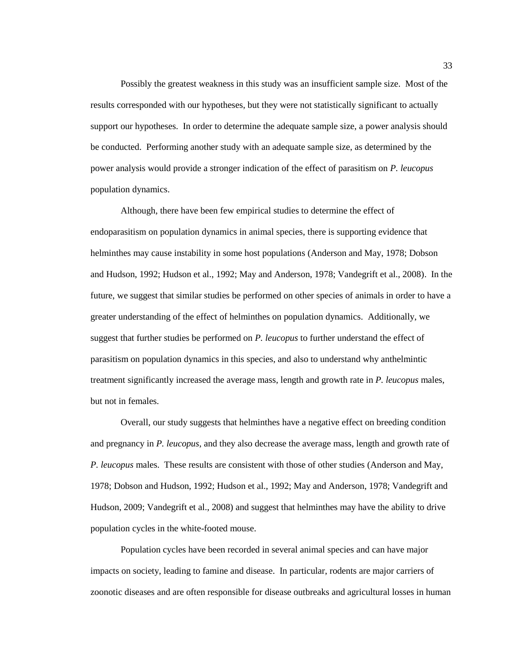Possibly the greatest weakness in this study was an insufficient sample size. Most of the results corresponded with our hypotheses, but they were not statistically significant to actually support our hypotheses. In order to determine the adequate sample size, a power analysis should be conducted. Performing another study with an adequate sample size, as determined by the power analysis would provide a stronger indication of the effect of parasitism on *P. leucopus* population dynamics.

Although, there have been few empirical studies to determine the effect of endoparasitism on population dynamics in animal species, there is supporting evidence that helminthes may cause instability in some host populations (Anderson and May, 1978; Dobson and Hudson, 1992; Hudson et al., 1992; May and Anderson, 1978; Vandegrift et al., 2008). In the future, we suggest that similar studies be performed on other species of animals in order to have a greater understanding of the effect of helminthes on population dynamics. Additionally, we suggest that further studies be performed on *P. leucopus* to further understand the effect of parasitism on population dynamics in this species, and also to understand why anthelmintic treatment significantly increased the average mass, length and growth rate in *P. leucopus* males, but not in females.

Overall, our study suggests that helminthes have a negative effect on breeding condition and pregnancy in *P. leucopus*, and they also decrease the average mass, length and growth rate of *P. leucopus* males. These results are consistent with those of other studies (Anderson and May, 1978; Dobson and Hudson, 1992; Hudson et al., 1992; May and Anderson, 1978; Vandegrift and Hudson, 2009; Vandegrift et al., 2008) and suggest that helminthes may have the ability to drive population cycles in the white-footed mouse.

Population cycles have been recorded in several animal species and can have major impacts on society, leading to famine and disease. In particular, rodents are major carriers of zoonotic diseases and are often responsible for disease outbreaks and agricultural losses in human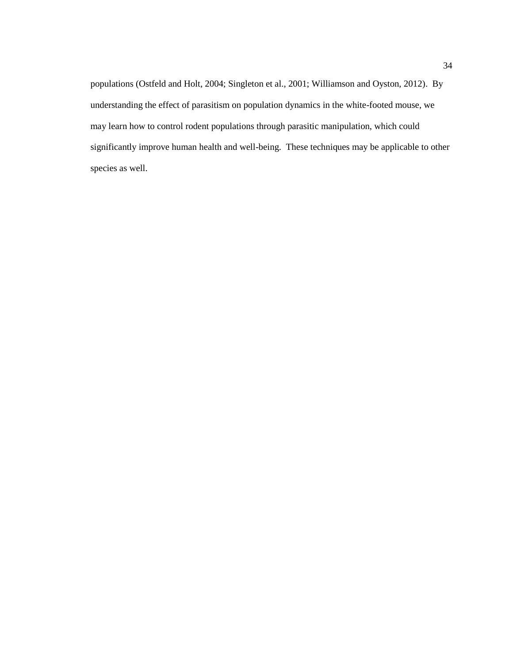<span id="page-38-0"></span>populations (Ostfeld and Holt, 2004; Singleton et al., 2001; Williamson and Oyston, 2012). By understanding the effect of parasitism on population dynamics in the white-footed mouse, we may learn how to control rodent populations through parasitic manipulation, which could significantly improve human health and well-being. These techniques may be applicable to other species as well.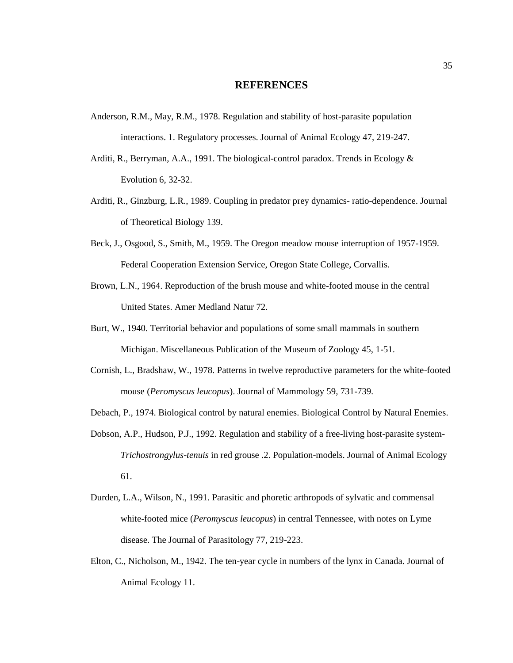#### **REFERENCES**

- Anderson, R.M., May, R.M., 1978. Regulation and stability of host-parasite population interactions. 1. Regulatory processes. Journal of Animal Ecology 47, 219-247.
- Arditi, R., Berryman, A.A., 1991. The biological-control paradox. Trends in Ecology & Evolution 6, 32-32.
- Arditi, R., Ginzburg, L.R., 1989. Coupling in predator prey dynamics- ratio-dependence. Journal of Theoretical Biology 139.
- Beck, J., Osgood, S., Smith, M., 1959. The Oregon meadow mouse interruption of 1957-1959. Federal Cooperation Extension Service, Oregon State College, Corvallis.
- Brown, L.N., 1964. Reproduction of the brush mouse and white-footed mouse in the central United States. Amer Medland Natur 72.
- Burt, W., 1940. Territorial behavior and populations of some small mammals in southern Michigan. Miscellaneous Publication of the Museum of Zoology 45, 1-51.
- Cornish, L., Bradshaw, W., 1978. Patterns in twelve reproductive parameters for the white-footed mouse (*Peromyscus leucopus*). Journal of Mammology 59, 731-739.
- Debach, P., 1974. Biological control by natural enemies. Biological Control by Natural Enemies.
- Dobson, A.P., Hudson, P.J., 1992. Regulation and stability of a free-living host-parasite system-*Trichostrongylus-tenuis* in red grouse .2. Population-models. Journal of Animal Ecology 61.
- Durden, L.A., Wilson, N., 1991. Parasitic and phoretic arthropods of sylvatic and commensal white-footed mice (*Peromyscus leucopus*) in central Tennessee, with notes on Lyme disease. The Journal of Parasitology 77, 219-223.
- Elton, C., Nicholson, M., 1942. The ten-year cycle in numbers of the lynx in Canada. Journal of Animal Ecology 11.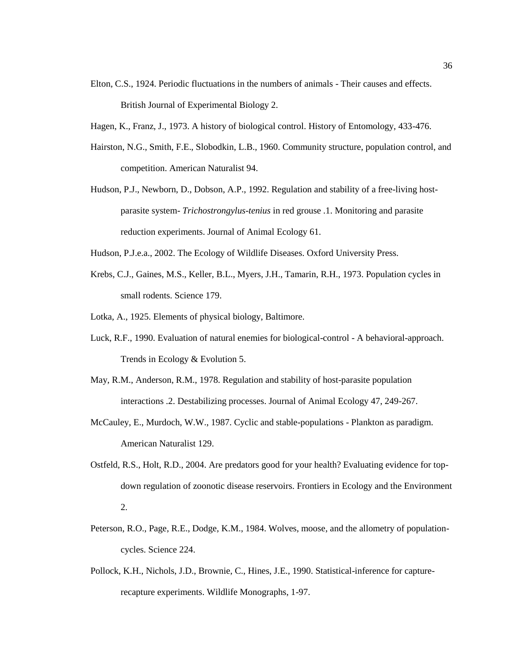- Elton, C.S., 1924. Periodic fluctuations in the numbers of animals Their causes and effects. British Journal of Experimental Biology 2.
- Hagen, K., Franz, J., 1973. A history of biological control. History of Entomology, 433-476.
- Hairston, N.G., Smith, F.E., Slobodkin, L.B., 1960. Community structure, population control, and competition. American Naturalist 94.
- Hudson, P.J., Newborn, D., Dobson, A.P., 1992. Regulation and stability of a free-living hostparasite system- *Trichostrongylus-tenius* in red grouse .1. Monitoring and parasite reduction experiments. Journal of Animal Ecology 61.
- Hudson, P.J.e.a., 2002. The Ecology of Wildlife Diseases. Oxford University Press.
- Krebs, C.J., Gaines, M.S., Keller, B.L., Myers, J.H., Tamarin, R.H., 1973. Population cycles in small rodents. Science 179.
- Lotka, A., 1925. Elements of physical biology, Baltimore.
- Luck, R.F., 1990. Evaluation of natural enemies for biological-control A behavioral-approach. Trends in Ecology & Evolution 5.
- May, R.M., Anderson, R.M., 1978. Regulation and stability of host-parasite population interactions .2. Destabilizing processes. Journal of Animal Ecology 47, 249-267.
- McCauley, E., Murdoch, W.W., 1987. Cyclic and stable-populations Plankton as paradigm. American Naturalist 129.
- Ostfeld, R.S., Holt, R.D., 2004. Are predators good for your health? Evaluating evidence for topdown regulation of zoonotic disease reservoirs. Frontiers in Ecology and the Environment 2.
- Peterson, R.O., Page, R.E., Dodge, K.M., 1984. Wolves, moose, and the allometry of populationcycles. Science 224.
- Pollock, K.H., Nichols, J.D., Brownie, C., Hines, J.E., 1990. Statistical-inference for capturerecapture experiments. Wildlife Monographs, 1-97.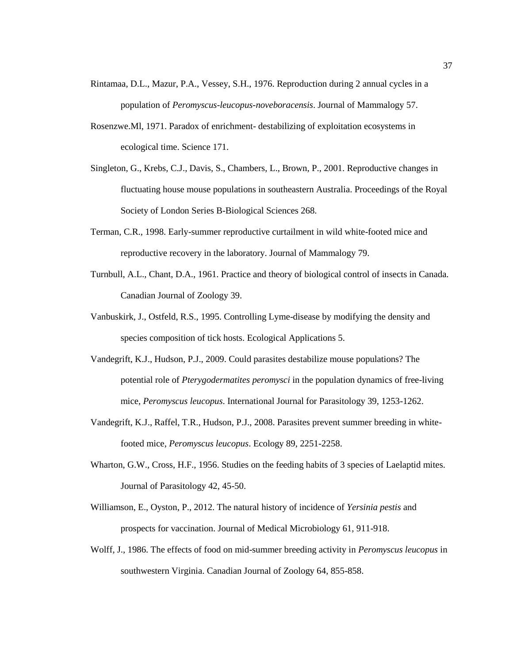- Rintamaa, D.L., Mazur, P.A., Vessey, S.H., 1976. Reproduction during 2 annual cycles in a population of *Peromyscus-leucopus-noveboracensis*. Journal of Mammalogy 57.
- Rosenzwe.Ml, 1971. Paradox of enrichment- destabilizing of exploitation ecosystems in ecological time. Science 171.
- Singleton, G., Krebs, C.J., Davis, S., Chambers, L., Brown, P., 2001. Reproductive changes in fluctuating house mouse populations in southeastern Australia. Proceedings of the Royal Society of London Series B-Biological Sciences 268.
- Terman, C.R., 1998. Early-summer reproductive curtailment in wild white-footed mice and reproductive recovery in the laboratory. Journal of Mammalogy 79.
- Turnbull, A.L., Chant, D.A., 1961. Practice and theory of biological control of insects in Canada. Canadian Journal of Zoology 39.
- Vanbuskirk, J., Ostfeld, R.S., 1995. Controlling Lyme-disease by modifying the density and species composition of tick hosts. Ecological Applications 5.
- Vandegrift, K.J., Hudson, P.J., 2009. Could parasites destabilize mouse populations? The potential role of *Pterygodermatites peromysci* in the population dynamics of free-living mice, *Peromyscus leucopus*. International Journal for Parasitology 39, 1253-1262.
- Vandegrift, K.J., Raffel, T.R., Hudson, P.J., 2008. Parasites prevent summer breeding in whitefooted mice, *Peromyscus leucopus*. Ecology 89, 2251-2258.
- Wharton, G.W., Cross, H.F., 1956. Studies on the feeding habits of 3 species of Laelaptid mites. Journal of Parasitology 42, 45-50.
- Williamson, E., Oyston, P., 2012. The natural history of incidence of *Yersinia pestis* and prospects for vaccination. Journal of Medical Microbiology 61, 911-918.
- Wolff, J., 1986. The effects of food on mid-summer breeding activity in *Peromyscus leucopus* in southwestern Virginia. Canadian Journal of Zoology 64, 855-858.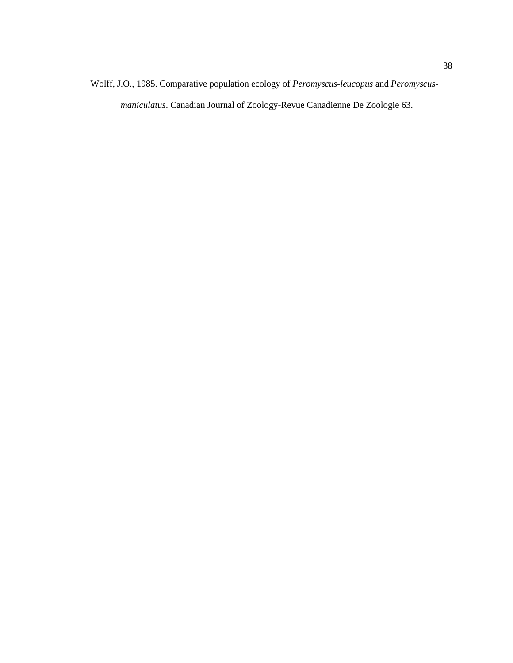Wolff, J.O., 1985. Comparative population ecology of *Peromyscus-leucopus* and *Peromyscusmaniculatus*. Canadian Journal of Zoology-Revue Canadienne De Zoologie 63.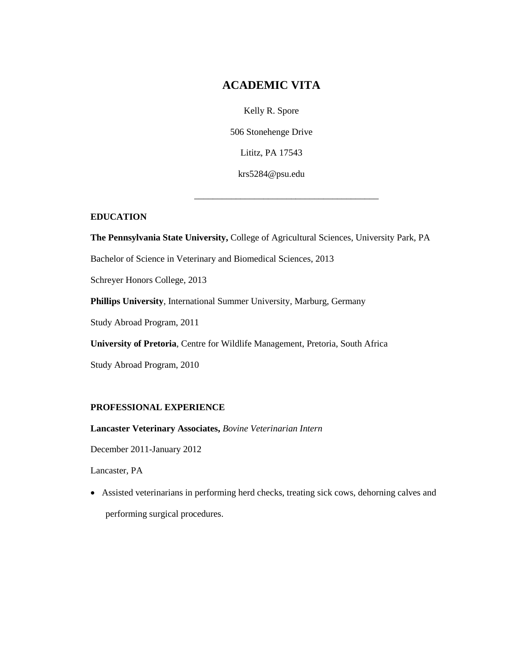# **ACADEMIC VITA**

Kelly R. Spore 506 Stonehenge Drive Lititz, PA 17543 krs5284@psu.edu

\_\_\_\_\_\_\_\_\_\_\_\_\_\_\_\_\_\_\_\_\_\_\_\_\_\_\_\_\_\_\_\_\_\_\_\_\_\_\_\_

# **EDUCATION**

**The Pennsylvania State University,** College of Agricultural Sciences, University Park, PA

Bachelor of Science in Veterinary and Biomedical Sciences, 2013

Schreyer Honors College, 2013

**Phillips University**, International Summer University, Marburg, Germany

Study Abroad Program, 2011

**University of Pretoria**, Centre for Wildlife Management, Pretoria, South Africa

Study Abroad Program, 2010

## **PROFESSIONAL EXPERIENCE**

**Lancaster Veterinary Associates,** *Bovine Veterinarian Intern* 

December 2011-January 2012

Lancaster, PA

 Assisted veterinarians in performing herd checks, treating sick cows, dehorning calves and performing surgical procedures.